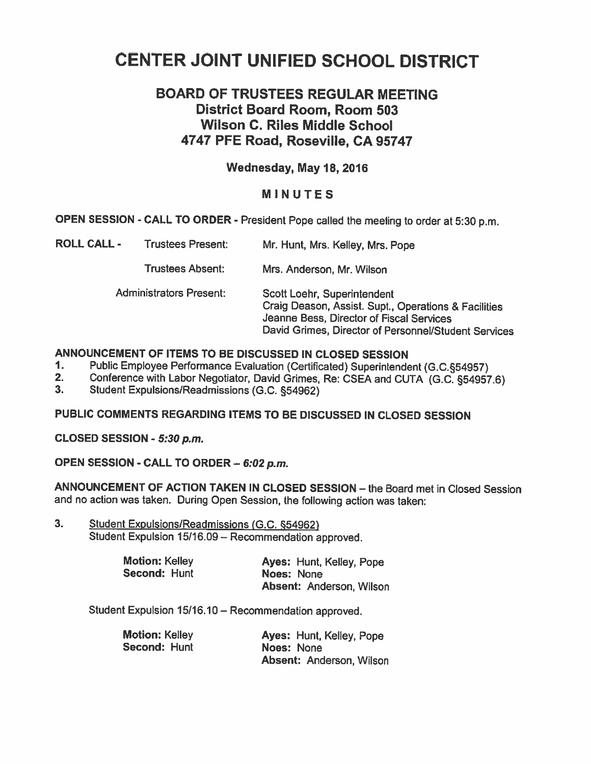# CENTER JOINT UNIFIED SCHOOL DISTRICT

## BOARD OF TRUSTEES REGULAR MEETING District Board Room, Room 503 Wilson C. Riles Middle School 4747 PFE Road, Roseville, CA 95747

## Wednesday, May 18, 2016

## MINUTES

OPEN SESSION . CALL TO ORDER - President Pope called the meeting to order at 5:30 p.m.

| <b>ROLL CALL -</b> | <b>Trustees Present:</b>       | Mr. Hunt, Mrs. Kelley, Mrs. Pope                                                                                                                                                        |
|--------------------|--------------------------------|-----------------------------------------------------------------------------------------------------------------------------------------------------------------------------------------|
|                    | <b>Trustees Absent:</b>        | Mrs. Anderson, Mr. Wilson                                                                                                                                                               |
|                    | <b>Administrators Present:</b> | Scott Loehr, Superintendent<br>Craig Deason, Assist. Supt., Operations & Facilities<br>Jeanne Bess, Director of Fiscal Services<br>David Grimes, Director of Personnel/Student Services |

## ANNOUNCEMENT OF ITEMS TO BE DISCUSSED IN CLOSED SESSION

- 1. Public Employee Performance Evaluation (Certificated) Superintendent (G.C.§54957)<br>2. Conference with Labor Negotiator, David Grimes, Re: CSEA and CUTA (G.C. 854957)
- 2. Conference with Labor Negotiator, David Grimes, Re: CSEA and CUTA (G.C. §54957.6)<br>3. Student Expulsions/Readmissions (G.C. §54962)
- 3. Student Expulsions/Readmissions (G.C. §54962)

## PUBLIC COMMENTS REGARDING ITEMS TO BE DISCUSSED IN CLOSED SESSION

CLOSED SESSION - 5:30 p.m.

OPEN SESSION - CALL TO ORDER — 6:02 p.m.

ANNOUNCEMENT OF ACTION TAKEN IN CLOSED SESSION — the Board met in Closed Session and no action was taken. During Open Session, the following action was taken:

3. Student Expulsions/Readmissions (G.C. §54962) Student Expulsion 15/16.09 — Recommendation approved.

| <b>Motion: Kelley</b> | Ayes: Hunt, Kelley, Pope |
|-----------------------|--------------------------|
| Second: Hunt          | Noes: None               |
|                       | Absent: Anderson, Wilson |

Student Expulsion 15/16.10— Recommendation approved.

| <b>Motion: Kelley</b> | Ayes: Hunt, Kelley, Pope        |
|-----------------------|---------------------------------|
| Second: Hunt          | Noes: None                      |
|                       | <b>Absent: Anderson, Wilson</b> |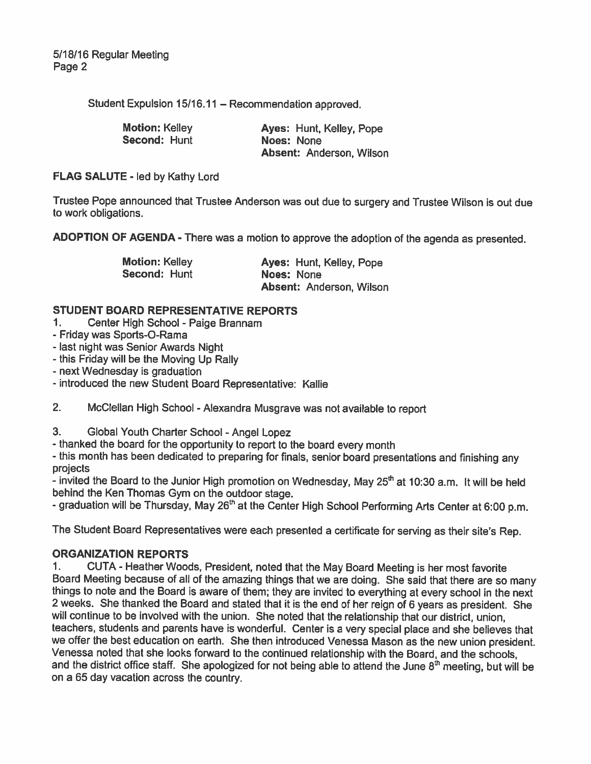Student Expulsion 15/16.11 — Recommendation approved.

| <b>Motion: Kelley</b> | Ayes: Hunt, Kelley, Pope |
|-----------------------|--------------------------|
| Second: Hunt          | Noes: None               |
|                       |                          |

Noes: None Absent: Anderson, Wilson

FLAG SALUTE - led by Kathy Lord

Trustee Pope announced that Trustee Anderson was out due to surgery and Trustee Wilson is out due to work obligations.

ADOPTION OF AGENDA - There was <sup>a</sup> motion to approve the adoption of the agenda as presented.

Motion: Kelley **Ayes: Hunt, Kelley, Pope** Second: Hunt Noes: None Absent: Anderson, Wilson

## STUDENT BOARD REPRESENTATIVE REPORTS

- 1. Center High School Paige Brannam
- -Friday was Sports-O-Rama
- last night was Senior Awards Night
- this Friday will be the Moving Up Rally
- -next Wednesday is graduation
- introduced the new Student Board Representative: Kallie
- 2. McClellan High School -Alexandra Musgrave was not available to report
- 3. Global Youth Charter School Angel Lopez
- thanked the board for the opportunity to report to the board every month

- this month has been dedicated to preparing for finals, senior board presentations and finishing any projects

- invited the Board to the Junior High promotion on Wednesday, May 25<sup>th</sup> at 10:30 a.m. It will be held behind the Ken Thomas Gym on the outdoor stage.

- graduation will be Thursday, May 26<sup>th</sup> at the Center High School Performing Arts Center at 6:00 p.m.

The Student Board Representatives were each presented <sup>a</sup> certificate for serving as their site's Rep.

## ORGANIZATION REPORTS

1. CUTA - Heather Woods, President, noted that the May Board Meeting is her most favorite things to note and the Board is aware of them; they are invited to everything at every school in the next <sup>2</sup> weeks. She thanked the Board and stated that it is the end of her reign of <sup>6</sup> years as president. She will continue to be involved with the union. She noted that the relationship that our district, union, teachers, students and parents have is wonderful. Center is <sup>a</sup> very special <sup>p</sup>lace and she believes that we offer the best education on earth. She then introduced Venessa Mason as the new union president. Venessa noted that she looks forward to the continued relationship with the Board, and the schools, and the district office staff. She apologized for not being able to attend the June 8<sup>th</sup> meeting, but will be on <sup>a</sup> 65 day vacation across the country.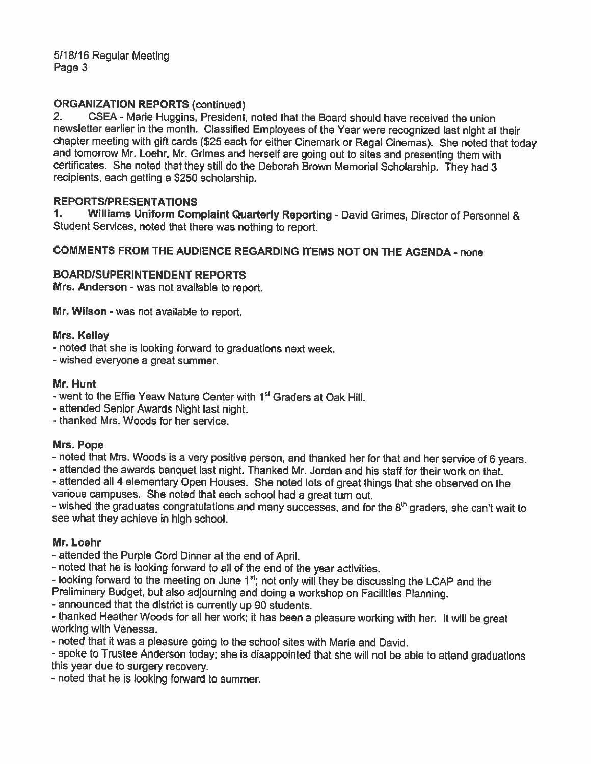## ORGANIZATION REPORTS (continued)

2. CSEA - Marie Huggins, President, noted that the Board should have received the union newsletter earlier in the month. Classified Employees of the Year were recognized last night at their<br>chapter meeting with gift cards (\$25 each for either Cinemark or Regal Cinemas). She noted that today<br>and tomorrow Mr. L certificates. She noted that they still do the Deborah Brown Memorial Scholarship. They had <sup>3</sup> recipients, each getting <sup>a</sup> \$250 scholarship.

## REPORTSIPRESENTATIONS

1. Williams Uniform Complaint Quarterly Reporting - David Grimes, Director of Personnel & Student Services, noted that there was nothing to report.

## COMMENTS FROM THE AUDIENCE REGARDING ITEMS NOT ON THE AGENDA - none

#### BOARD/SUPERINTENDENT REPORTS

Mrs. Anderson - was not available to report.

Mr. Wilson - was not available to report.

#### Mrs. Kelley

- noted that she is looking forward to graduations next week.
- -wished everyone <sup>a</sup> great summer.

#### Mr. Hunt

- went to the Effie Yeaw Nature Center with 1<sup>st</sup> Graders at Oak Hill.
- attended Senior Awards Night last night.

- thanked Mrs. Woods for her service.

#### Mrs. Pope

- noted that Mrs. Woods is <sup>a</sup> very positive person, and thanked her for that and her service of <sup>6</sup> years.

- attended the awards banquet last night. Thanked Mr. Jordan and his staff for their work on that. - attended all <sup>4</sup> elementary Open Houses. She noted lots of great things that she observed on the

various campuses. She noted that each school had <sup>a</sup> great turn out.

- wished the graduates congratulations and many successes, and for the  $8^\text{th}$  graders, she can't wait to see what they achieve in high school.

#### Mr. Loehr

- attended the Purple Cord Dinner at the end of April.

- noted that he is looking forward to all of the end of the year activities.

- looking forward to the meeting on June 1 $^{\rm st}$ ; not only will they be discussing the LCAP and the Preliminary Budget, but also adjourning and doing <sup>a</sup> workshop on Facilities Planning.

- announced that the district is currently up 90 students.

- thanked Heather Woods for all her work; it has been <sup>a</sup> <sup>p</sup>leasure working with her, It will be great working with Venessa.

- noted that it was <sup>a</sup> pleasure going to the school sites with Marie and David.

-spoke to Trustee Anderson today; she is disappointed that she will not be able to attend graduations this year due to surgery recovery.

- noted that he is looking forward to summer.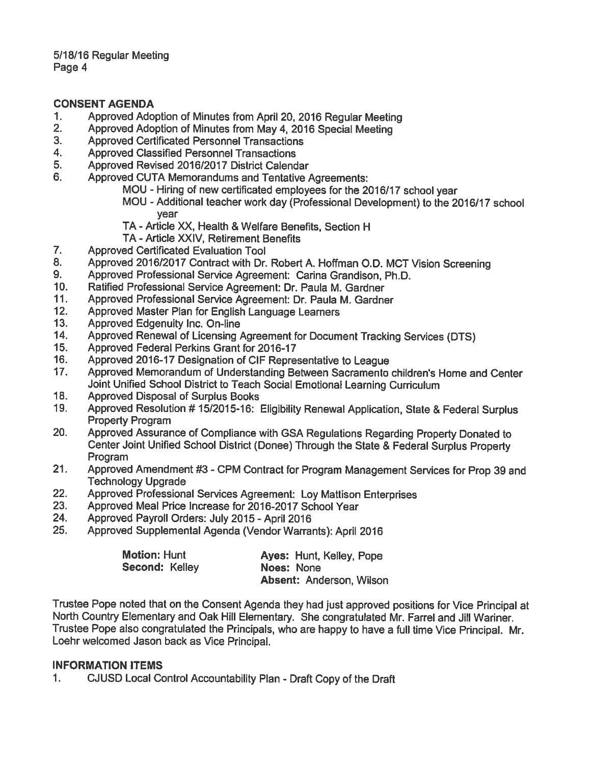## CONSENT AGENDA

- 1. Approved Adoption of Minutes from April 20, 2016 Regular Meeting<br>2. Approved Adoption of Minutes from May 4, 2016 Special Meeting
- 2. Approved Adoption of Minutes from May 4, 2016 Special Meeting<br>3. Approved Certificated Personnel Transactions
- 3. Approved Certificated Personnel Transactions
- 4. Approved Classified Personnel Transactions
- 5. Approved Revised 2016/2017 District Calendar
- 6. Approved CUTA Memorandums and Tentative Agreements:
	- MOU Hiring of new certificated employees for the 2016/17 school year
	- MOU Additional teacher work day (Professional Development) to the 2016/17 school year
	- TA Article XX, Health & Welfare Benefits, Section H
	- TA Article XXIV, Retirement Benefits
- 7. Approved Certificated Evaluation Tool
- 8. Approved 2016/2017 Contract with Dr. Robert A. Hoffman O.D. MCT Vision Screening<br>9. Approved Professional Service Agreement: Carina Grandison, Ph.D.
- 9. Approved Professional Service Agreement: Carina Grandison, Ph.D.<br>10. Ratified Professional Service Agreement: Dr. Paula M. Gardner
- Ratified Professional Service Agreement: Dr. Paula M. Gardner
- 11. Approved Professional Service Agreement: Dr. Paula M. Gardner
- 12. Approved Master Plan for English Language Learners
- 13. Approved Edgenuity Inc. On-line<br>14. Approved Renewal of Licensing /
- 14. Approved Renewal of Licensing Agreement for Document Tracking Services (DTS)<br>15. Approved Federal Perkins Grant for 2016-17
- 15. Approved Federal Perkins Grant for 2016-17
- 16. Approved 2016-17 Designation of CIF Representative to League<br>17. Approved Memorandum of Understanding Between Sacramento
- 17. Approved Memorandum of Understanding Between Sacramento children's Home and Center Joint Unified School District to Teach Social Emotional Learning Curriculum
- 18. Approved Disposal of Surplus Books
- 19. Approved Resolution # 15/2015-16: Eligibility Renewal Application, State & Federal Surplus Property Program
- 20. Approved Assurance of Compliance with GSA Regulations Regarding Property Donated to Center Joint Unified School District (Donee) Through the State & Federal Surplus Property Program
- 21. Approved Amendment #3 -CPM Contract for Program Management Services for Prop <sup>39</sup> and Technology Upgrade
- 22. Approved Professional Services Agreement: Loy Mattison Enterprises<br>23. Approved Meal Price Increase for 2016-2017 School Year
- Approved Meal Price Increase for 2016-2017 School Year
- 24. Approved Payroll Orders: July 2015- April 2016
- 25. Approved Supplemental Agenda (Vendor Warrants): April 2016

| <b>Motion: Hunt</b> | Ayes: Hunt, Kelley, Pope        |
|---------------------|---------------------------------|
| Second: Kelley      | Noes: None                      |
|                     | <b>Absent: Anderson, Wilson</b> |

Trustee Pope noted that on the Consent Agenda they had just approved positions for Vice Principal at North Country Elementary and Oak Hill Elementary. She congratulated Mr. Farrel and Jill Warmer. Trustee Pope also congratulated the Principals, who are happy to have <sup>a</sup> full time Vice Principal. Mr. Loehr welcomed Jason back as Vice Principal.

#### INFORMATION ITEMS

1. CJUSD Local Control Accountability Plan -Draft Copy of the Draft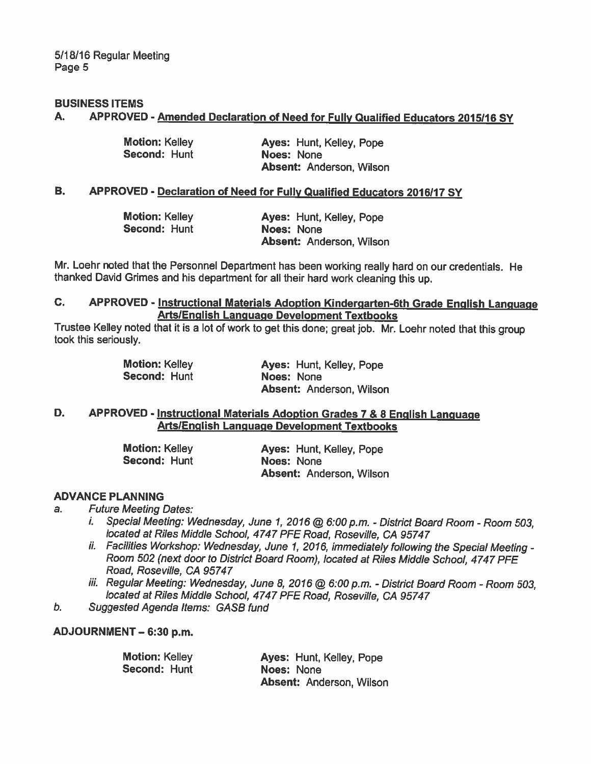#### BUSINESS ITEMS

#### A. APPROVED - Amended Declaration of Need for Fully Qualified Educators 2015/16 SY

| Motion: Kelley | Ayes: Hunt, Kelley, Pope        |
|----------------|---------------------------------|
| Second: Hunt   | Noes: None                      |
|                | <b>Absent: Anderson, Wilson</b> |

#### B. APPROVED - Declaration of Need for Fully Qualified Educators 2016/17 SY

| <b>Motion: Kelley</b> | Ayes: Hunt, Kelley, Pope        |
|-----------------------|---------------------------------|
| Second: Hunt          | Noes: None                      |
|                       | <b>Absent: Anderson, Wilson</b> |

Mr. Loehr noted that the Personnel Department has been working really hard on our credentials. He thanked David Grimes and his department for all their hard work cleaning this up.

## C. APPROVED - Instructional Materials Adoption Kindergarten-6th Grade English Language ArtslEnglish Language Development Textbooks

Trustee Kelley noted that it is <sup>a</sup> lot of work to get this done; great job. Mr. Loehr noted that this group took this seriously.

| <b>Motion: Kelley</b> | Ayes: Hunt, Kelley, Pope        |
|-----------------------|---------------------------------|
| Second: Hunt          | Noes: None                      |
|                       | <b>Absent: Anderson, Wilson</b> |

#### D. APPROVED - Instructional Materials Adoption Grades 7 & 8 English Language ArtslEnglish Language Development Textbooks

| <b>Motion: Kelley</b> | Ayes: Hunt, Kelley, Pope        |
|-----------------------|---------------------------------|
| Second: Hunt          | Noes: None                      |
|                       | <b>Absent: Anderson, Wilson</b> |

#### ADVANCE PLANNING

a. Future Meeting Dates:

- i. Special Meeting: Wednesday, June 1, 2016 @ 6:00 p.m. District Board Room Room 503, located at Riles Middle School, 4747 PFE Road, Roseville, CA 95747
- ii. Facilities Workshop: Wednesday, June 1, 2016, immediately following the Special Meeting -Room 502 (next door to District Board Room), located at Riles Middle School, 4747 PFE Road, Roseville, CA 95747
- iii. Regular Meeting: Wednesday, June 8, 2016 @ 6:00 p.m. District Board Room Room 503, located at Riles Middle School, 4747 PFE Road, Roseville, CA 95747
- b. Suggested Agenda Items: GASB fund

#### ADJOURNMENT — 6:30 p.m.

| <b>Motion: Kelley</b> | Ayes: Hunt, Kelley, Pope        |
|-----------------------|---------------------------------|
| Second: Hunt          | Noes: None                      |
|                       | <b>Absent: Anderson, Wilson</b> |